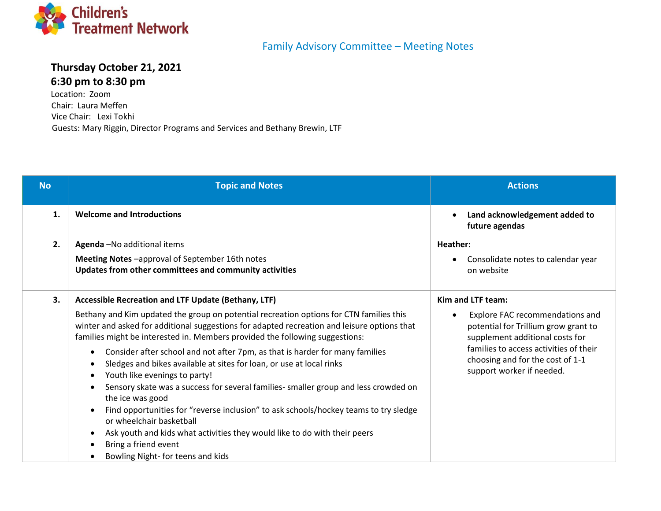

## Family Advisory Committee – Meeting Notes

## **Thursday October 21, 2021 6:30 pm to 8:30 pm**

Location: Zoom Chair: Laura Meffen Vice Chair: Lexi Tokhi Guests: Mary Riggin, Director Programs and Services and Bethany Brewin, LTF

| <b>No</b> | <b>Topic and Notes</b>                                                                                                                                                                                                                                                                                                                                                                                                                                                                                                                                                                                                                                                                                                                                                                                                                                                                                                         | <b>Actions</b>                                                                                                                                                                                                                             |
|-----------|--------------------------------------------------------------------------------------------------------------------------------------------------------------------------------------------------------------------------------------------------------------------------------------------------------------------------------------------------------------------------------------------------------------------------------------------------------------------------------------------------------------------------------------------------------------------------------------------------------------------------------------------------------------------------------------------------------------------------------------------------------------------------------------------------------------------------------------------------------------------------------------------------------------------------------|--------------------------------------------------------------------------------------------------------------------------------------------------------------------------------------------------------------------------------------------|
| 1.        | <b>Welcome and Introductions</b>                                                                                                                                                                                                                                                                                                                                                                                                                                                                                                                                                                                                                                                                                                                                                                                                                                                                                               | Land acknowledgement added to<br>future agendas                                                                                                                                                                                            |
| 2.        | Agenda - No additional items<br>Meeting Notes -approval of September 16th notes<br>Updates from other committees and community activities                                                                                                                                                                                                                                                                                                                                                                                                                                                                                                                                                                                                                                                                                                                                                                                      | Heather:<br>Consolidate notes to calendar year<br>on website                                                                                                                                                                               |
| 3.        | Accessible Recreation and LTF Update (Bethany, LTF)<br>Bethany and Kim updated the group on potential recreation options for CTN families this<br>winter and asked for additional suggestions for adapted recreation and leisure options that<br>families might be interested in. Members provided the following suggestions:<br>Consider after school and not after 7pm, as that is harder for many families<br>$\bullet$<br>Sledges and bikes available at sites for loan, or use at local rinks<br>Youth like evenings to party!<br>$\bullet$<br>Sensory skate was a success for several families- smaller group and less crowded on<br>the ice was good<br>Find opportunities for "reverse inclusion" to ask schools/hockey teams to try sledge<br>or wheelchair basketball<br>Ask youth and kids what activities they would like to do with their peers<br>٠<br>Bring a friend event<br>Bowling Night- for teens and kids | Kim and LTF team:<br>Explore FAC recommendations and<br>potential for Trillium grow grant to<br>supplement additional costs for<br>families to access activities of their<br>choosing and for the cost of 1-1<br>support worker if needed. |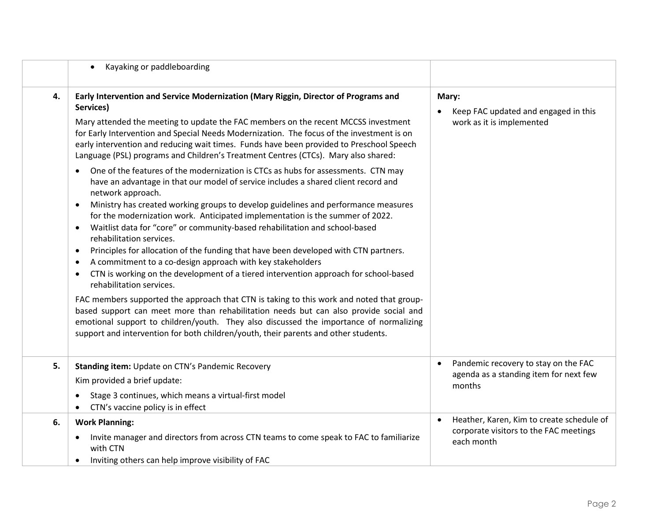|    | Kayaking or paddleboarding<br>$\bullet$                                                                                                                                                                                                                                                                                                                                                                                                                                                                                                                                                                                                                                                                                                                                                                                                                                                                                    |                                                                                                                |
|----|----------------------------------------------------------------------------------------------------------------------------------------------------------------------------------------------------------------------------------------------------------------------------------------------------------------------------------------------------------------------------------------------------------------------------------------------------------------------------------------------------------------------------------------------------------------------------------------------------------------------------------------------------------------------------------------------------------------------------------------------------------------------------------------------------------------------------------------------------------------------------------------------------------------------------|----------------------------------------------------------------------------------------------------------------|
| 4. | Early Intervention and Service Modernization (Mary Riggin, Director of Programs and<br>Services)                                                                                                                                                                                                                                                                                                                                                                                                                                                                                                                                                                                                                                                                                                                                                                                                                           | Mary:                                                                                                          |
|    | Mary attended the meeting to update the FAC members on the recent MCCSS investment<br>for Early Intervention and Special Needs Modernization. The focus of the investment is on<br>early intervention and reducing wait times. Funds have been provided to Preschool Speech<br>Language (PSL) programs and Children's Treatment Centres (CTCs). Mary also shared:                                                                                                                                                                                                                                                                                                                                                                                                                                                                                                                                                          | Keep FAC updated and engaged in this<br>work as it is implemented                                              |
|    | One of the features of the modernization is CTCs as hubs for assessments. CTN may<br>$\bullet$<br>have an advantage in that our model of service includes a shared client record and<br>network approach.<br>Ministry has created working groups to develop guidelines and performance measures<br>$\bullet$<br>for the modernization work. Anticipated implementation is the summer of 2022.<br>Waitlist data for "core" or community-based rehabilitation and school-based<br>$\bullet$<br>rehabilitation services.<br>Principles for allocation of the funding that have been developed with CTN partners.<br>$\bullet$<br>A commitment to a co-design approach with key stakeholders<br>٠<br>CTN is working on the development of a tiered intervention approach for school-based<br>$\bullet$<br>rehabilitation services.<br>FAC members supported the approach that CTN is taking to this work and noted that group- |                                                                                                                |
|    | based support can meet more than rehabilitation needs but can also provide social and<br>emotional support to children/youth. They also discussed the importance of normalizing<br>support and intervention for both children/youth, their parents and other students.                                                                                                                                                                                                                                                                                                                                                                                                                                                                                                                                                                                                                                                     |                                                                                                                |
| 5. | Standing item: Update on CTN's Pandemic Recovery<br>Kim provided a brief update:                                                                                                                                                                                                                                                                                                                                                                                                                                                                                                                                                                                                                                                                                                                                                                                                                                           | Pandemic recovery to stay on the FAC<br>$\bullet$<br>agenda as a standing item for next few<br>months          |
|    | Stage 3 continues, which means a virtual-first model<br>CTN's vaccine policy is in effect                                                                                                                                                                                                                                                                                                                                                                                                                                                                                                                                                                                                                                                                                                                                                                                                                                  |                                                                                                                |
| 6. | <b>Work Planning:</b><br>Invite manager and directors from across CTN teams to come speak to FAC to familiarize<br>٠<br>with CTN<br>Inviting others can help improve visibility of FAC                                                                                                                                                                                                                                                                                                                                                                                                                                                                                                                                                                                                                                                                                                                                     | Heather, Karen, Kim to create schedule of<br>$\bullet$<br>corporate visitors to the FAC meetings<br>each month |